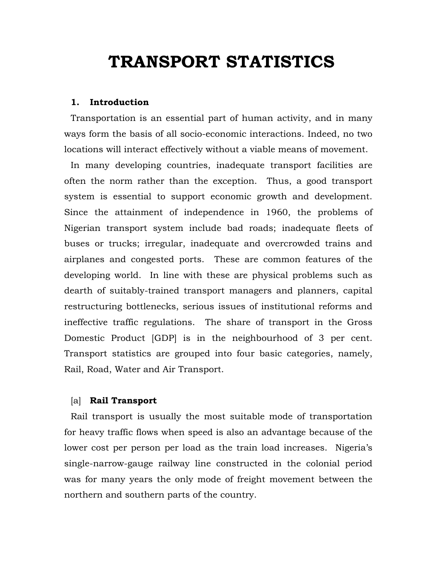# **TRANSPORT STATISTICS**

# **1. Introduction**

Transportation is an essential part of human activity, and in many ways form the basis of all socio-economic interactions. Indeed, no two locations will interact effectively without a viable means of movement.

In many developing countries, inadequate transport facilities are often the norm rather than the exception. Thus, a good transport system is essential to support economic growth and development. Since the attainment of independence in 1960, the problems of Nigerian transport system include bad roads; inadequate fleets of buses or trucks; irregular, inadequate and overcrowded trains and airplanes and congested ports. These are common features of the developing world. In line with these are physical problems such as dearth of suitably-trained transport managers and planners, capital restructuring bottlenecks, serious issues of institutional reforms and ineffective traffic regulations. The share of transport in the Gross Domestic Product [GDP] is in the neighbourhood of 3 per cent. Transport statistics are grouped into four basic categories, namely, Rail, Road, Water and Air Transport.

# [a] **Rail Transport**

Rail transport is usually the most suitable mode of transportation for heavy traffic flows when speed is also an advantage because of the lower cost per person per load as the train load increases. Nigeria's single-narrow-gauge railway line constructed in the colonial period was for many years the only mode of freight movement between the northern and southern parts of the country.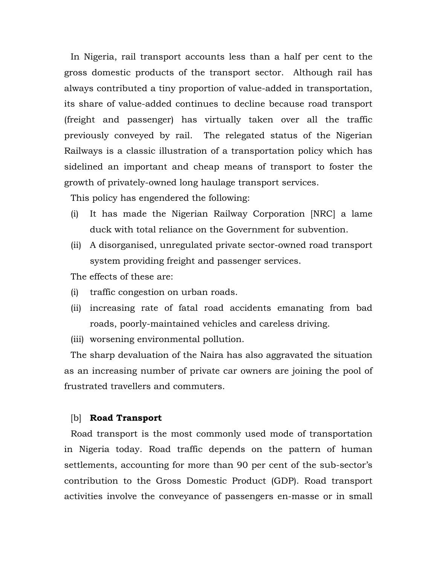In Nigeria, rail transport accounts less than a half per cent to the gross domestic products of the transport sector. Although rail has always contributed a tiny proportion of value-added in transportation, its share of value-added continues to decline because road transport (freight and passenger) has virtually taken over all the traffic previously conveyed by rail. The relegated status of the Nigerian Railways is a classic illustration of a transportation policy which has sidelined an important and cheap means of transport to foster the growth of privately-owned long haulage transport services.

This policy has engendered the following:

- (i) It has made the Nigerian Railway Corporation [NRC] a lame duck with total reliance on the Government for subvention.
- (ii) A disorganised, unregulated private sector-owned road transport system providing freight and passenger services.
- The effects of these are:
- (i) traffic congestion on urban roads.
- (ii) increasing rate of fatal road accidents emanating from bad roads, poorly-maintained vehicles and careless driving.
- (iii) worsening environmental pollution.

The sharp devaluation of the Naira has also aggravated the situation as an increasing number of private car owners are joining the pool of frustrated travellers and commuters.

# [b] **Road Transport**

Road transport is the most commonly used mode of transportation in Nigeria today. Road traffic depends on the pattern of human settlements, accounting for more than 90 per cent of the sub-sector's contribution to the Gross Domestic Product (GDP). Road transport activities involve the conveyance of passengers en-masse or in small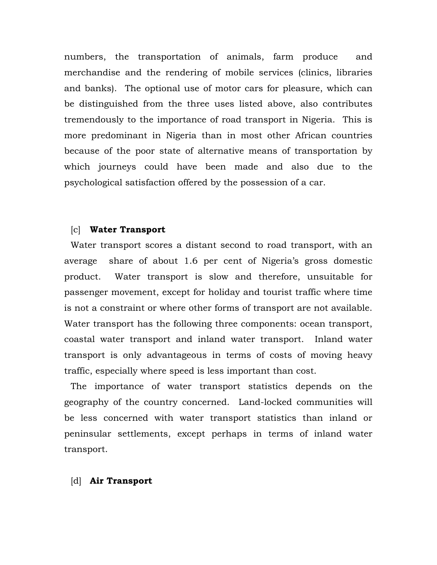numbers, the transportation of animals, farm produce and merchandise and the rendering of mobile services (clinics, libraries and banks). The optional use of motor cars for pleasure, which can be distinguished from the three uses listed above, also contributes tremendously to the importance of road transport in Nigeria. This is more predominant in Nigeria than in most other African countries because of the poor state of alternative means of transportation by which journeys could have been made and also due to the psychological satisfaction offered by the possession of a car.

# [c] **Water Transport**

Water transport scores a distant second to road transport, with an average share of about 1.6 per cent of Nigeria's gross domestic product. Water transport is slow and therefore, unsuitable for passenger movement, except for holiday and tourist traffic where time is not a constraint or where other forms of transport are not available. Water transport has the following three components: ocean transport, coastal water transport and inland water transport. Inland water transport is only advantageous in terms of costs of moving heavy traffic, especially where speed is less important than cost.

The importance of water transport statistics depends on the geography of the country concerned. Land-locked communities will be less concerned with water transport statistics than inland or peninsular settlements, except perhaps in terms of inland water transport.

#### [d] **Air Transport**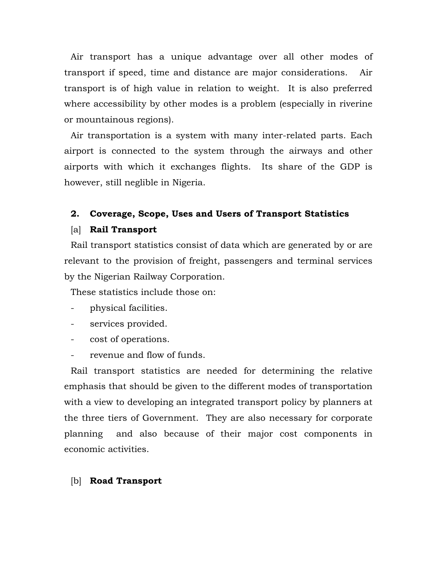Air transport has a unique advantage over all other modes of transport if speed, time and distance are major considerations. Air transport is of high value in relation to weight. It is also preferred where accessibility by other modes is a problem (especially in riverine or mountainous regions).

Air transportation is a system with many inter-related parts. Each airport is connected to the system through the airways and other airports with which it exchanges flights. Its share of the GDP is however, still neglible in Nigeria.

# **2. Coverage, Scope, Uses and Users of Transport Statistics**

#### [a] **Rail Transport**

Rail transport statistics consist of data which are generated by or are relevant to the provision of freight, passengers and terminal services by the Nigerian Railway Corporation.

These statistics include those on:

- physical facilities.
- services provided.
- cost of operations.
- revenue and flow of funds.

Rail transport statistics are needed for determining the relative emphasis that should be given to the different modes of transportation with a view to developing an integrated transport policy by planners at the three tiers of Government. They are also necessary for corporate planning and also because of their major cost components in economic activities.

# [b] **Road Transport**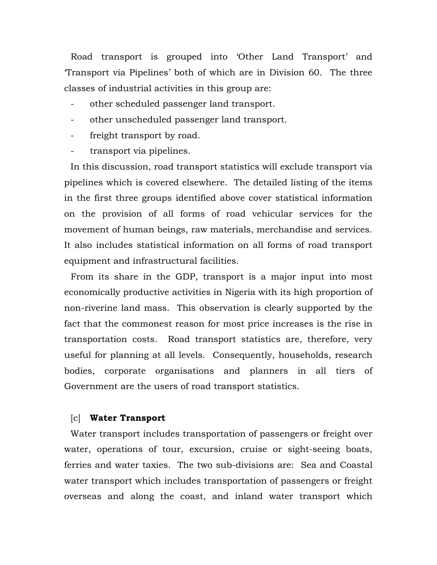Road transport is grouped into 'Other Land Transport' and 'Transport via Pipelines' both of which are in Division 60. The three classes of industrial activities in this group are:

- other scheduled passenger land transport.
- other unscheduled passenger land transport.
- freight transport by road.
- transport via pipelines.

In this discussion, road transport statistics will exclude transport via pipelines which is covered elsewhere. The detailed listing of the items in the first three groups identified above cover statistical information on the provision of all forms of road vehicular services for the movement of human beings, raw materials, merchandise and services. It also includes statistical information on all forms of road transport equipment and infrastructural facilities.

From its share in the GDP, transport is a major input into most economically productive activities in Nigeria with its high proportion of non-riverine land mass. This observation is clearly supported by the fact that the commonest reason for most price increases is the rise in transportation costs. Road transport statistics are, therefore, very useful for planning at all levels. Consequently, households, research bodies, corporate organisations and planners in all tiers of Government are the users of road transport statistics.

# [c] **Water Transport**

Water transport includes transportation of passengers or freight over water, operations of tour, excursion, cruise or sight-seeing boats, ferries and water taxies. The two sub-divisions are: Sea and Coastal water transport which includes transportation of passengers or freight overseas and along the coast, and inland water transport which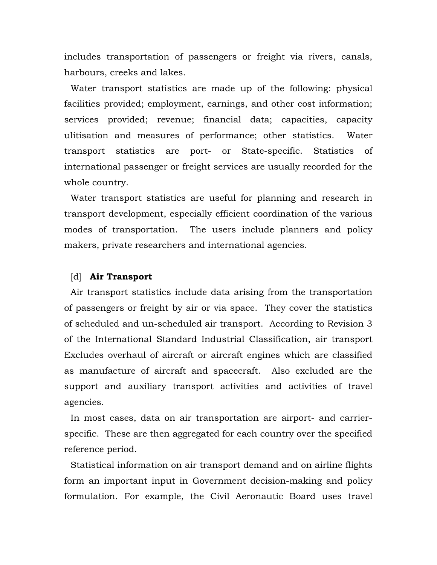includes transportation of passengers or freight via rivers, canals, harbours, creeks and lakes.

Water transport statistics are made up of the following: physical facilities provided; employment, earnings, and other cost information; services provided; revenue; financial data; capacities, capacity ulitisation and measures of performance; other statistics. Water transport statistics are port- or State-specific. Statistics of international passenger or freight services are usually recorded for the whole country.

Water transport statistics are useful for planning and research in transport development, especially efficient coordination of the various modes of transportation. The users include planners and policy makers, private researchers and international agencies.

#### [d] **Air Transport**

Air transport statistics include data arising from the transportation of passengers or freight by air or via space. They cover the statistics of scheduled and un-scheduled air transport. According to Revision 3 of the International Standard Industrial Classification, air transport Excludes overhaul of aircraft or aircraft engines which are classified as manufacture of aircraft and spacecraft. Also excluded are the support and auxiliary transport activities and activities of travel agencies.

In most cases, data on air transportation are airport- and carrierspecific. These are then aggregated for each country over the specified reference period.

Statistical information on air transport demand and on airline flights form an important input in Government decision-making and policy formulation. For example, the Civil Aeronautic Board uses travel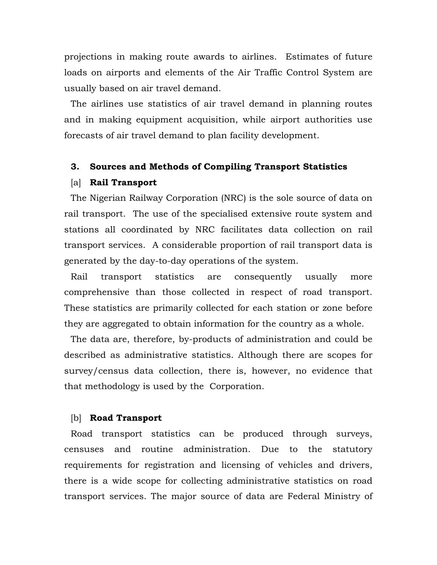projections in making route awards to airlines. Estimates of future loads on airports and elements of the Air Traffic Control System are usually based on air travel demand.

The airlines use statistics of air travel demand in planning routes and in making equipment acquisition, while airport authorities use forecasts of air travel demand to plan facility development.

# **3. Sources and Methods of Compiling Transport Statistics**

#### [a] **Rail Transport**

The Nigerian Railway Corporation (NRC) is the sole source of data on rail transport. The use of the specialised extensive route system and stations all coordinated by NRC facilitates data collection on rail transport services. A considerable proportion of rail transport data is generated by the day-to-day operations of the system.

Rail transport statistics are consequently usually more comprehensive than those collected in respect of road transport. These statistics are primarily collected for each station or zone before they are aggregated to obtain information for the country as a whole.

The data are, therefore, by-products of administration and could be described as administrative statistics. Although there are scopes for survey/census data collection, there is, however, no evidence that that methodology is used by the Corporation.

#### [b] **Road Transport**

Road transport statistics can be produced through surveys, censuses and routine administration. Due to the statutory requirements for registration and licensing of vehicles and drivers, there is a wide scope for collecting administrative statistics on road transport services. The major source of data are Federal Ministry of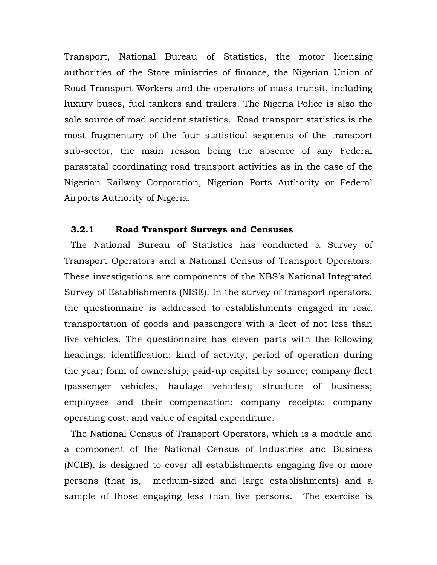Transport, National Bureau of Statistics, the motor licensing authorities of the State ministries of finance, the Nigerian Union of Road Transport Workers and the operators of mass transit, including luxury buses, fuel tankers and trailers. The Nigeria Police is also the sole source of road accident statistics. Road transport statistics is the most fragmentary of the four statistical segments of the transport sub-sector, the main reason being the absence of any Federal parastatal coordinating road transport activities as in the case of the Nigerian Railway Corporation, Nigerian Ports Authority or Federal Airports Authority of Nigeria.

# **3.2.1 Road Transport Surveys and Censuses**

The National Bureau of Statistics has conducted a Survey of Transport Operators and a National Census of Transport Operators. These investigations are components of the NBS's National Integrated Survey of Establishments (NISE). In the survey of transport operators, the questionnaire is addressed to establishments engaged in road transportation of goods and passengers with a fleet of not less than five vehicles. The questionnaire has eleven parts with the following headings: identification; kind of activity; period of operation during the year; form of ownership; paid-up capital by source; company fleet (passenger vehicles, haulage vehicles); structure of business; employees and their compensation; company receipts; company operating cost; and value of capital expenditure.

The National Census of Transport Operators, which is a module and a component of the National Census of Industries and Business (NCIB), is designed to cover all establishments engaging five or more persons (that is, medium-sized and large establishments) and a sample of those engaging less than five persons. The exercise is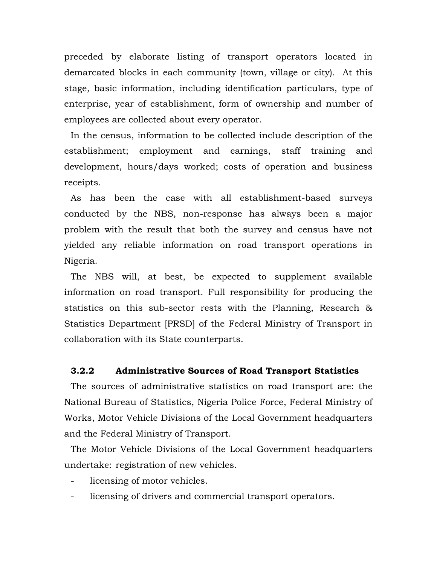preceded by elaborate listing of transport operators located in demarcated blocks in each community (town, village or city). At this stage, basic information, including identification particulars, type of enterprise, year of establishment, form of ownership and number of employees are collected about every operator.

In the census, information to be collected include description of the establishment; employment and earnings, staff training and development, hours/days worked; costs of operation and business receipts.

As has been the case with all establishment-based surveys conducted by the NBS, non-response has always been a major problem with the result that both the survey and census have not yielded any reliable information on road transport operations in Nigeria.

The NBS will, at best, be expected to supplement available information on road transport. Full responsibility for producing the statistics on this sub-sector rests with the Planning, Research & Statistics Department [PRSD] of the Federal Ministry of Transport in collaboration with its State counterparts.

# **3.2.2 Administrative Sources of Road Transport Statistics**

The sources of administrative statistics on road transport are: the National Bureau of Statistics, Nigeria Police Force, Federal Ministry of Works, Motor Vehicle Divisions of the Local Government headquarters and the Federal Ministry of Transport.

The Motor Vehicle Divisions of the Local Government headquarters undertake: registration of new vehicles.

- licensing of motor vehicles.
- licensing of drivers and commercial transport operators.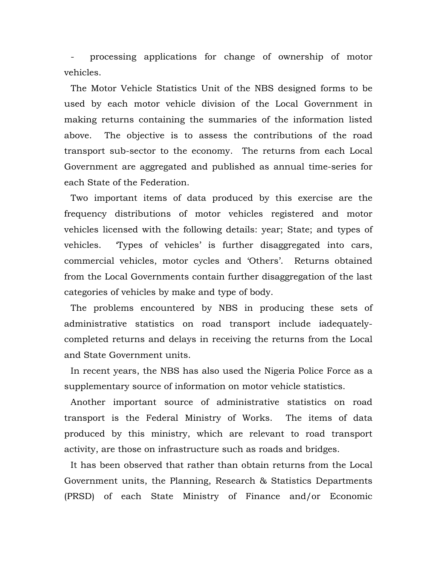processing applications for change of ownership of motor vehicles.

The Motor Vehicle Statistics Unit of the NBS designed forms to be used by each motor vehicle division of the Local Government in making returns containing the summaries of the information listed above. The objective is to assess the contributions of the road transport sub-sector to the economy. The returns from each Local Government are aggregated and published as annual time-series for each State of the Federation.

Two important items of data produced by this exercise are the frequency distributions of motor vehicles registered and motor vehicles licensed with the following details: year; State; and types of vehicles. 'Types of vehicles' is further disaggregated into cars, commercial vehicles, motor cycles and 'Others'. Returns obtained from the Local Governments contain further disaggregation of the last categories of vehicles by make and type of body.

The problems encountered by NBS in producing these sets of administrative statistics on road transport include iadequatelycompleted returns and delays in receiving the returns from the Local and State Government units.

In recent years, the NBS has also used the Nigeria Police Force as a supplementary source of information on motor vehicle statistics.

Another important source of administrative statistics on road transport is the Federal Ministry of Works. The items of data produced by this ministry, which are relevant to road transport activity, are those on infrastructure such as roads and bridges.

It has been observed that rather than obtain returns from the Local Government units, the Planning, Research & Statistics Departments (PRSD) of each State Ministry of Finance and/or Economic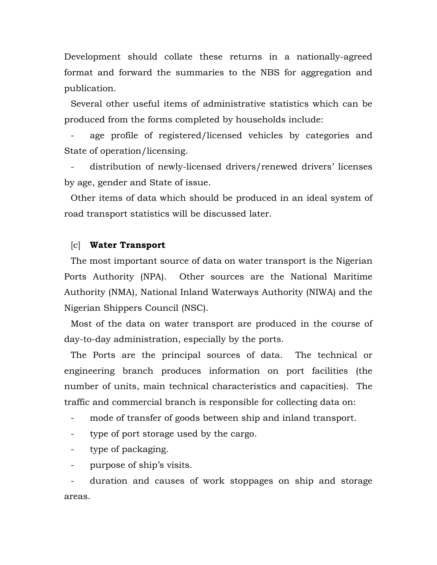Development should collate these returns in a nationally-agreed format and forward the summaries to the NBS for aggregation and publication.

Several other useful items of administrative statistics which can be produced from the forms completed by households include:

age profile of registered/licensed vehicles by categories and State of operation/licensing.

distribution of newly-licensed drivers/renewed drivers' licenses by age, gender and State of issue.

Other items of data which should be produced in an ideal system of road transport statistics will be discussed later.

# [c] **Water Transport**

The most important source of data on water transport is the Nigerian Ports Authority (NPA). Other sources are the National Maritime Authority (NMA), National Inland Waterways Authority (NIWA) and the Nigerian Shippers Council (NSC).

Most of the data on water transport are produced in the course of day-to-day administration, especially by the ports.

The Ports are the principal sources of data. The technical or engineering branch produces information on port facilities (the number of units, main technical characteristics and capacities). The traffic and commercial branch is responsible for collecting data on:

mode of transfer of goods between ship and inland transport.

- type of port storage used by the cargo.

- type of packaging.

purpose of ship's visits.

duration and causes of work stoppages on ship and storage areas.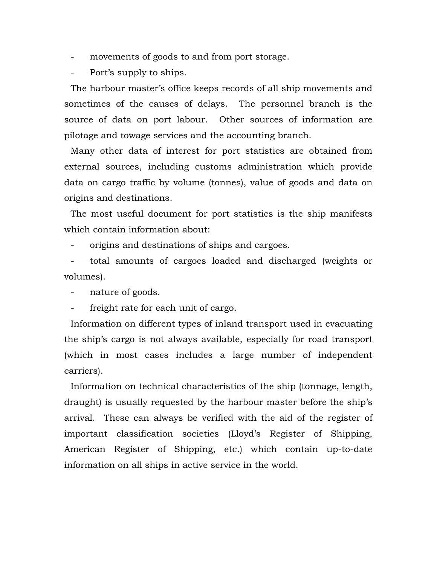- movements of goods to and from port storage.
- Port's supply to ships.

The harbour master's office keeps records of all ship movements and sometimes of the causes of delays. The personnel branch is the source of data on port labour. Other sources of information are pilotage and towage services and the accounting branch.

Many other data of interest for port statistics are obtained from external sources, including customs administration which provide data on cargo traffic by volume (tonnes), value of goods and data on origins and destinations.

The most useful document for port statistics is the ship manifests which contain information about:

origins and destinations of ships and cargoes.

- total amounts of cargoes loaded and discharged (weights or volumes).

nature of goods.

freight rate for each unit of cargo.

Information on different types of inland transport used in evacuating the ship's cargo is not always available, especially for road transport (which in most cases includes a large number of independent carriers).

Information on technical characteristics of the ship (tonnage, length, draught) is usually requested by the harbour master before the ship's arrival. These can always be verified with the aid of the register of important classification societies (Lloyd's Register of Shipping, American Register of Shipping, etc.) which contain up-to-date information on all ships in active service in the world.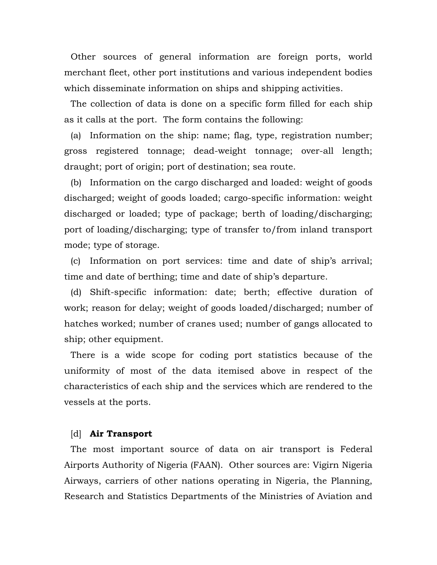Other sources of general information are foreign ports, world merchant fleet, other port institutions and various independent bodies which disseminate information on ships and shipping activities.

The collection of data is done on a specific form filled for each ship as it calls at the port. The form contains the following:

(a) Information on the ship: name; flag, type, registration number; gross registered tonnage; dead-weight tonnage; over-all length; draught; port of origin; port of destination; sea route.

(b) Information on the cargo discharged and loaded: weight of goods discharged; weight of goods loaded; cargo-specific information: weight discharged or loaded; type of package; berth of loading/discharging; port of loading/discharging; type of transfer to/from inland transport mode; type of storage.

(c) Information on port services: time and date of ship's arrival; time and date of berthing; time and date of ship's departure.

(d) Shift-specific information: date; berth; effective duration of work; reason for delay; weight of goods loaded/discharged; number of hatches worked; number of cranes used; number of gangs allocated to ship; other equipment.

There is a wide scope for coding port statistics because of the uniformity of most of the data itemised above in respect of the characteristics of each ship and the services which are rendered to the vessels at the ports.

# [d] **Air Transport**

The most important source of data on air transport is Federal Airports Authority of Nigeria (FAAN). Other sources are: Vigirn Nigeria Airways, carriers of other nations operating in Nigeria, the Planning, Research and Statistics Departments of the Ministries of Aviation and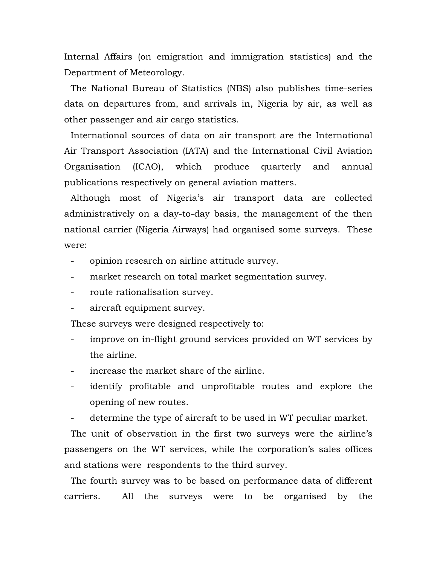Internal Affairs (on emigration and immigration statistics) and the Department of Meteorology.

The National Bureau of Statistics (NBS) also publishes time-series data on departures from, and arrivals in, Nigeria by air, as well as other passenger and air cargo statistics.

International sources of data on air transport are the International Air Transport Association (IATA) and the International Civil Aviation Organisation (ICAO), which produce quarterly and annual publications respectively on general aviation matters.

Although most of Nigeria's air transport data are collected administratively on a day-to-day basis, the management of the then national carrier (Nigeria Airways) had organised some surveys. These were:

- opinion research on airline attitude survey.
- market research on total market segmentation survey.
- route rationalisation survey.
- aircraft equipment survey.

These surveys were designed respectively to:

- improve on in-flight ground services provided on WT services by the airline.
- increase the market share of the airline.
- identify profitable and unprofitable routes and explore the opening of new routes.
- determine the type of aircraft to be used in WT peculiar market.

The unit of observation in the first two surveys were the airline's passengers on the WT services, while the corporation's sales offices and stations were respondents to the third survey.

The fourth survey was to be based on performance data of different carriers. All the surveys were to be organised by the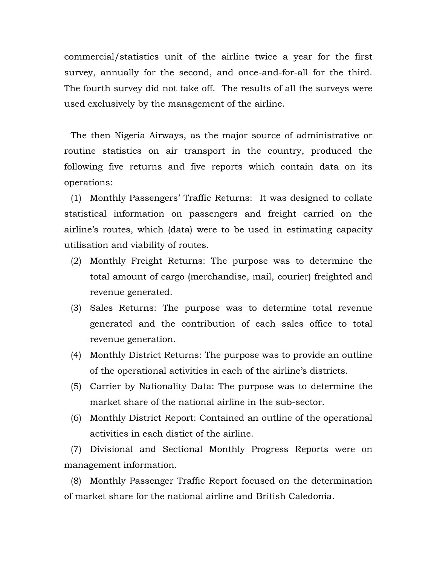commercial/statistics unit of the airline twice a year for the first survey, annually for the second, and once-and-for-all for the third. The fourth survey did not take off. The results of all the surveys were used exclusively by the management of the airline.

The then Nigeria Airways, as the major source of administrative or routine statistics on air transport in the country, produced the following five returns and five reports which contain data on its operations:

(1) Monthly Passengers' Traffic Returns: It was designed to collate statistical information on passengers and freight carried on the airline's routes, which (data) were to be used in estimating capacity utilisation and viability of routes.

- (2) Monthly Freight Returns: The purpose was to determine the total amount of cargo (merchandise, mail, courier) freighted and revenue generated.
- (3) Sales Returns: The purpose was to determine total revenue generated and the contribution of each sales office to total revenue generation.
- (4) Monthly District Returns: The purpose was to provide an outline of the operational activities in each of the airline's districts.
- (5) Carrier by Nationality Data: The purpose was to determine the market share of the national airline in the sub-sector.
- (6) Monthly District Report: Contained an outline of the operational activities in each distict of the airline.

(7) Divisional and Sectional Monthly Progress Reports were on management information.

(8) Monthly Passenger Traffic Report focused on the determination of market share for the national airline and British Caledonia.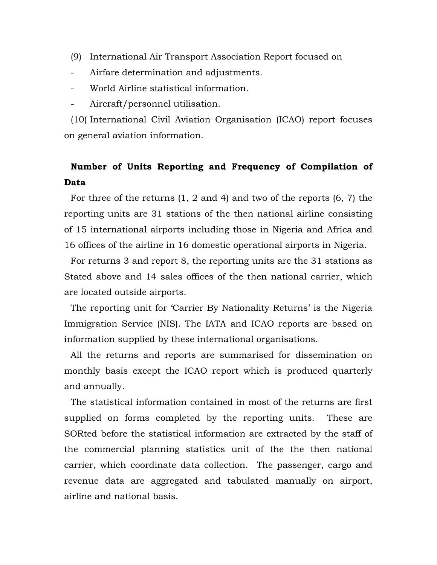- (9) International Air Transport Association Report focused on
- Airfare determination and adjustments.
- World Airline statistical information.
- Aircraft/personnel utilisation.

(10) International Civil Aviation Organisation (ICAO) report focuses on general aviation information.

# **Number of Units Reporting and Frequency of Compilation of Data**

For three of the returns (1, 2 and 4) and two of the reports (6, 7) the reporting units are 31 stations of the then national airline consisting of 15 international airports including those in Nigeria and Africa and 16 offices of the airline in 16 domestic operational airports in Nigeria.

For returns 3 and report 8, the reporting units are the 31 stations as Stated above and 14 sales offices of the then national carrier, which are located outside airports.

The reporting unit for 'Carrier By Nationality Returns' is the Nigeria Immigration Service (NIS). The IATA and ICAO reports are based on information supplied by these international organisations.

All the returns and reports are summarised for dissemination on monthly basis except the ICAO report which is produced quarterly and annually.

The statistical information contained in most of the returns are first supplied on forms completed by the reporting units. These are SORted before the statistical information are extracted by the staff of the commercial planning statistics unit of the the then national carrier, which coordinate data collection. The passenger, cargo and revenue data are aggregated and tabulated manually on airport, airline and national basis.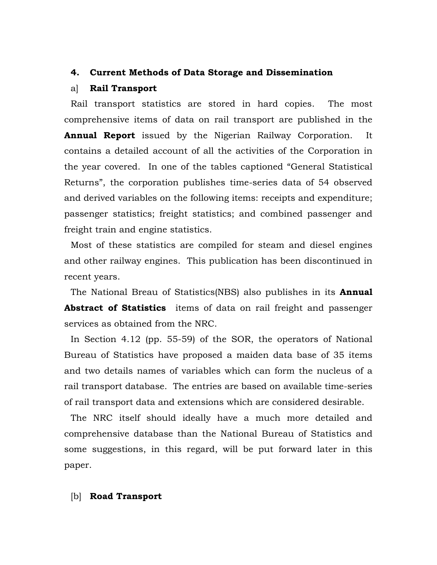# **4. Current Methods of Data Storage and Dissemination**

#### a] **Rail Transport**

Rail transport statistics are stored in hard copies. The most comprehensive items of data on rail transport are published in the **Annual Report** issued by the Nigerian Railway Corporation. It contains a detailed account of all the activities of the Corporation in the year covered. In one of the tables captioned "General Statistical Returns", the corporation publishes time-series data of 54 observed and derived variables on the following items: receipts and expenditure; passenger statistics; freight statistics; and combined passenger and freight train and engine statistics.

Most of these statistics are compiled for steam and diesel engines and other railway engines. This publication has been discontinued in recent years.

The National Breau of Statistics(NBS) also publishes in its **Annual Abstract of Statistics** items of data on rail freight and passenger services as obtained from the NRC.

In Section 4.12 (pp. 55-59) of the SOR, the operators of National Bureau of Statistics have proposed a maiden data base of 35 items and two details names of variables which can form the nucleus of a rail transport database. The entries are based on available time-series of rail transport data and extensions which are considered desirable.

The NRC itself should ideally have a much more detailed and comprehensive database than the National Bureau of Statistics and some suggestions, in this regard, will be put forward later in this paper.

# [b] **Road Transport**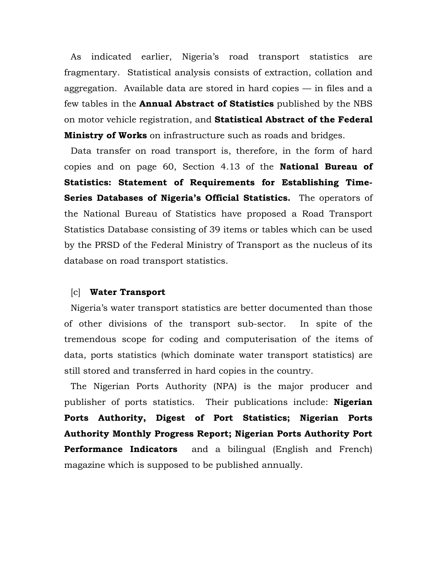As indicated earlier, Nigeria's road transport statistics are fragmentary. Statistical analysis consists of extraction, collation and aggregation. Available data are stored in hard copies — in files and a few tables in the **Annual Abstract of Statistics** published by the NBS on motor vehicle registration, and **Statistical Abstract of the Federal Ministry of Works** on infrastructure such as roads and bridges.

Data transfer on road transport is, therefore, in the form of hard copies and on page 60, Section 4.13 of the **National Bureau of Statistics: Statement of Requirements for Establishing Time-Series Databases of Nigeria's Official Statistics.** The operators of the National Bureau of Statistics have proposed a Road Transport Statistics Database consisting of 39 items or tables which can be used by the PRSD of the Federal Ministry of Transport as the nucleus of its database on road transport statistics.

# [c] **Water Transport**

Nigeria's water transport statistics are better documented than those of other divisions of the transport sub-sector. In spite of the tremendous scope for coding and computerisation of the items of data, ports statistics (which dominate water transport statistics) are still stored and transferred in hard copies in the country.

The Nigerian Ports Authority (NPA) is the major producer and publisher of ports statistics. Their publications include: **Nigerian Ports Authority, Digest of Port Statistics; Nigerian Ports Authority Monthly Progress Report; Nigerian Ports Authority Port Performance Indicators** and a bilingual (English and French) magazine which is supposed to be published annually.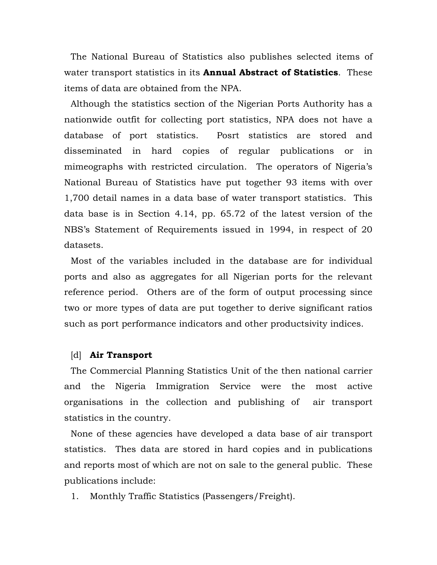The National Bureau of Statistics also publishes selected items of water transport statistics in its **Annual Abstract of Statistics**. These items of data are obtained from the NPA.

Although the statistics section of the Nigerian Ports Authority has a nationwide outfit for collecting port statistics, NPA does not have a database of port statistics. Posrt statistics are stored and disseminated in hard copies of regular publications or in mimeographs with restricted circulation. The operators of Nigeria's National Bureau of Statistics have put together 93 items with over 1,700 detail names in a data base of water transport statistics. This data base is in Section 4.14, pp. 65.72 of the latest version of the NBS's Statement of Requirements issued in 1994, in respect of 20 datasets.

Most of the variables included in the database are for individual ports and also as aggregates for all Nigerian ports for the relevant reference period. Others are of the form of output processing since two or more types of data are put together to derive significant ratios such as port performance indicators and other productsivity indices.

# [d] **Air Transport**

The Commercial Planning Statistics Unit of the then national carrier and the Nigeria Immigration Service were the most active organisations in the collection and publishing of air transport statistics in the country.

None of these agencies have developed a data base of air transport statistics. Thes data are stored in hard copies and in publications and reports most of which are not on sale to the general public. These publications include:

1. Monthly Traffic Statistics (Passengers/Freight).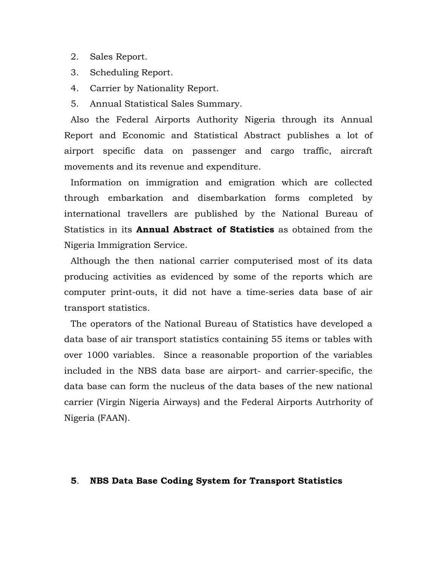- 2. Sales Report.
- 3. Scheduling Report.
- 4. Carrier by Nationality Report.
- 5. Annual Statistical Sales Summary.

Also the Federal Airports Authority Nigeria through its Annual Report and Economic and Statistical Abstract publishes a lot of airport specific data on passenger and cargo traffic, aircraft movements and its revenue and expenditure.

Information on immigration and emigration which are collected through embarkation and disembarkation forms completed by international travellers are published by the National Bureau of Statistics in its **Annual Abstract of Statistics** as obtained from the Nigeria Immigration Service.

Although the then national carrier computerised most of its data producing activities as evidenced by some of the reports which are computer print-outs, it did not have a time-series data base of air transport statistics.

The operators of the National Bureau of Statistics have developed a data base of air transport statistics containing 55 items or tables with over 1000 variables. Since a reasonable proportion of the variables included in the NBS data base are airport- and carrier-specific, the data base can form the nucleus of the data bases of the new national carrier (Virgin Nigeria Airways) and the Federal Airports Autrhority of Nigeria (FAAN).

#### **5**. **NBS Data Base Coding System for Transport Statistics**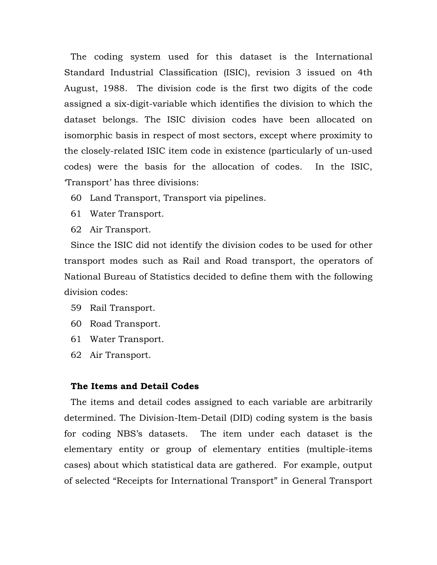The coding system used for this dataset is the International Standard Industrial Classification (ISIC), revision 3 issued on 4th August, 1988. The division code is the first two digits of the code assigned a six-digit-variable which identifies the division to which the dataset belongs. The ISIC division codes have been allocated on isomorphic basis in respect of most sectors, except where proximity to the closely-related ISIC item code in existence (particularly of un-used codes) were the basis for the allocation of codes. In the ISIC, 'Transport' has three divisions:

- 60 Land Transport, Transport via pipelines.
- 61 Water Transport.
- 62 Air Transport.

Since the ISIC did not identify the division codes to be used for other transport modes such as Rail and Road transport, the operators of National Bureau of Statistics decided to define them with the following division codes:

- 59 Rail Transport.
- 60 Road Transport.
- 61 Water Transport.
- 62 Air Transport.

# **The Items and Detail Codes**

The items and detail codes assigned to each variable are arbitrarily determined. The Division-Item-Detail (DID) coding system is the basis for coding NBS's datasets. The item under each dataset is the elementary entity or group of elementary entities (multiple-items cases) about which statistical data are gathered. For example, output of selected "Receipts for International Transport" in General Transport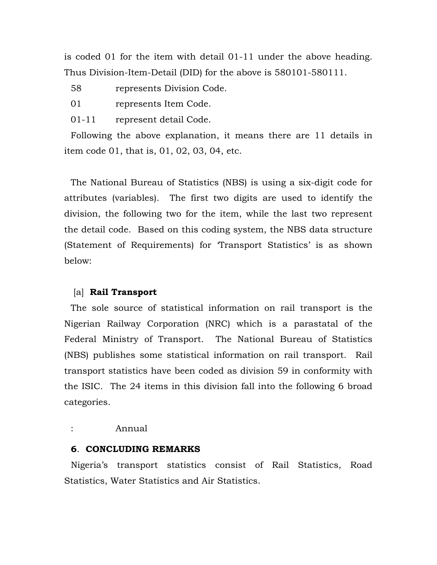is coded 01 for the item with detail 01-11 under the above heading. Thus Division-Item-Detail (DID) for the above is 580101-580111.

- 58 represents Division Code.
- 01 represents Item Code.
- 01-11 represent detail Code.

Following the above explanation, it means there are 11 details in item code 01, that is, 01, 02, 03, 04, etc.

The National Bureau of Statistics (NBS) is using a six-digit code for attributes (variables). The first two digits are used to identify the division, the following two for the item, while the last two represent the detail code. Based on this coding system, the NBS data structure (Statement of Requirements) for 'Transport Statistics' is as shown below:

# [a] **Rail Transport**

The sole source of statistical information on rail transport is the Nigerian Railway Corporation (NRC) which is a parastatal of the Federal Ministry of Transport. The National Bureau of Statistics (NBS) publishes some statistical information on rail transport. Rail transport statistics have been coded as division 59 in conformity with the ISIC. The 24 items in this division fall into the following 6 broad categories.

#### : Annual

# **6**. **CONCLUDING REMARKS**

Nigeria's transport statistics consist of Rail Statistics, Road Statistics, Water Statistics and Air Statistics.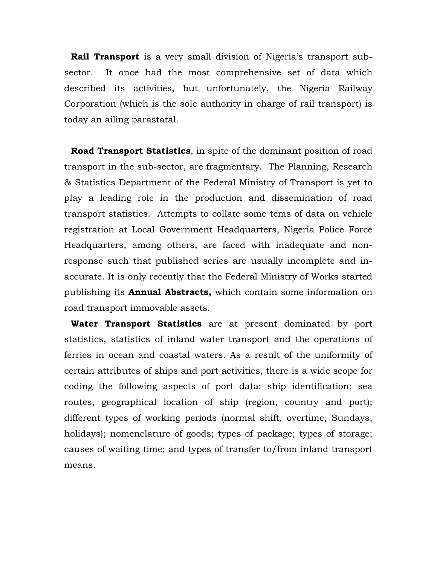**Rail Transport** is a very small division of Nigeria's transport subsector. It once had the most comprehensive set of data which described its activities, but unfortunately, the Nigeria Railway Corporation (which is the sole authority in charge of rail transport) is today an ailing parastatal.

**Road Transport Statistics**, in spite of the dominant position of road transport in the sub-sector, are fragmentary. The Planning, Research & Statistics Department of the Federal Ministry of Transport is yet to play a leading role in the production and dissemination of road transport statistics. Attempts to collate some tems of data on vehicle registration at Local Government Headquarters, Nigeria Police Force Headquarters, among others, are faced with inadequate and nonresponse such that published series are usually incomplete and inaccurate. It is only recently that the Federal Ministry of Works started publishing its **Annual Abstracts,** which contain some information on road transport immovable assets.

**Water Transport Statistics** are at present dominated by port statistics, statistics of inland water transport and the operations of ferries in ocean and coastal waters. As a result of the uniformity of certain attributes of ships and port activities, there is a wide scope for coding the following aspects of port data: ship identification; sea routes, geographical location of ship (region, country and port); different types of working periods (normal shift, overtime, Sundays, holidays); nomenclature of goods; types of package; types of storage; causes of waiting time; and types of transfer to/from inland transport means.